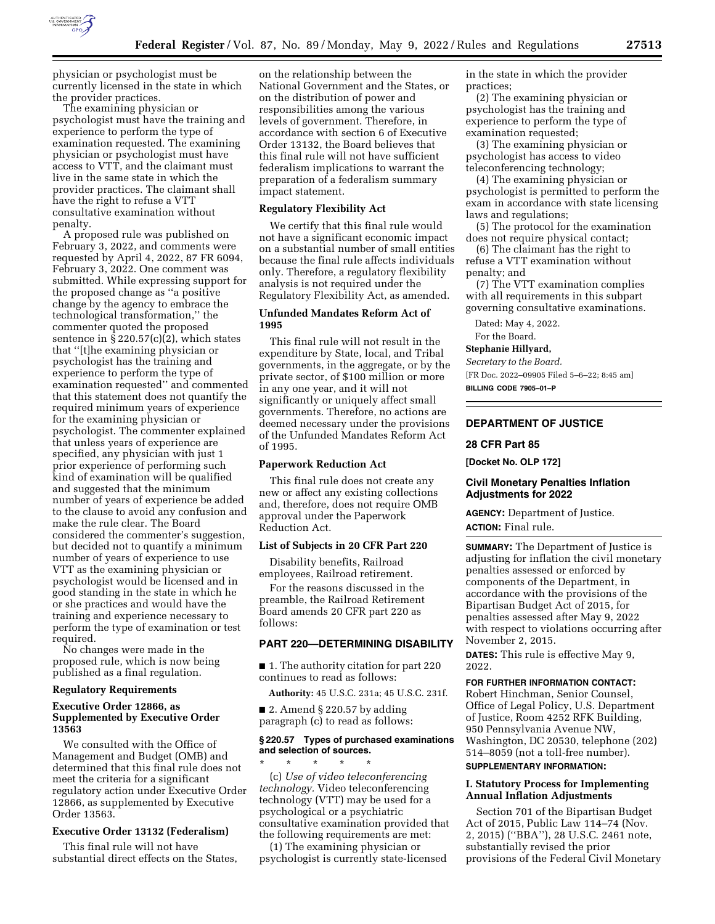

physician or psychologist must be currently licensed in the state in which the provider practices.

The examining physician or psychologist must have the training and experience to perform the type of examination requested. The examining physician or psychologist must have access to VTT, and the claimant must live in the same state in which the provider practices. The claimant shall have the right to refuse a VTT consultative examination without penalty.

A proposed rule was published on February 3, 2022, and comments were requested by April 4, 2022, 87 FR 6094, February 3, 2022. One comment was submitted. While expressing support for the proposed change as ''a positive change by the agency to embrace the technological transformation,'' the commenter quoted the proposed sentence in  $\S 220.57(c)(2)$ , which states that ''[t]he examining physician or psychologist has the training and experience to perform the type of examination requested'' and commented that this statement does not quantify the required minimum years of experience for the examining physician or psychologist. The commenter explained that unless years of experience are specified, any physician with just 1 prior experience of performing such kind of examination will be qualified and suggested that the minimum number of years of experience be added to the clause to avoid any confusion and make the rule clear. The Board considered the commenter's suggestion, but decided not to quantify a minimum number of years of experience to use VTT as the examining physician or psychologist would be licensed and in good standing in the state in which he or she practices and would have the training and experience necessary to perform the type of examination or test required.

No changes were made in the proposed rule, which is now being published as a final regulation.

## **Regulatory Requirements**

#### **Executive Order 12866, as Supplemented by Executive Order 13563**

We consulted with the Office of Management and Budget (OMB) and determined that this final rule does not meet the criteria for a significant regulatory action under Executive Order 12866, as supplemented by Executive Order 13563.

## **Executive Order 13132 (Federalism)**

This final rule will not have substantial direct effects on the States,

on the relationship between the National Government and the States, or on the distribution of power and responsibilities among the various levels of government. Therefore, in accordance with section 6 of Executive Order 13132, the Board believes that this final rule will not have sufficient federalism implications to warrant the preparation of a federalism summary impact statement.

### **Regulatory Flexibility Act**

We certify that this final rule would not have a significant economic impact on a substantial number of small entities because the final rule affects individuals only. Therefore, a regulatory flexibility analysis is not required under the Regulatory Flexibility Act, as amended.

#### **Unfunded Mandates Reform Act of 1995**

This final rule will not result in the expenditure by State, local, and Tribal governments, in the aggregate, or by the private sector, of \$100 million or more in any one year, and it will not significantly or uniquely affect small governments. Therefore, no actions are deemed necessary under the provisions of the Unfunded Mandates Reform Act of 1995.

#### **Paperwork Reduction Act**

This final rule does not create any new or affect any existing collections and, therefore, does not require OMB approval under the Paperwork Reduction Act.

## **List of Subjects in 20 CFR Part 220**

Disability benefits, Railroad employees, Railroad retirement.

For the reasons discussed in the preamble, the Railroad Retirement Board amends 20 CFR part 220 as follows:

# **PART 220—DETERMINING DISABILITY**

■ 1. The authority citation for part 220 continues to read as follows:

**Authority:** 45 U.S.C. 231a; 45 U.S.C. 231f.

 $\blacksquare$  2. Amend § 220.57 by adding paragraph (c) to read as follows:

#### **§ 220.57 Types of purchased examinations and selection of sources.**

\* \* \* \* \* (c) *Use of video teleconferencing technology.* Video teleconferencing technology (VTT) may be used for a psychological or a psychiatric consultative examination provided that the following requirements are met:

(1) The examining physician or psychologist is currently state-licensed in the state in which the provider practices;

(2) The examining physician or psychologist has the training and experience to perform the type of examination requested;

(3) The examining physician or psychologist has access to video teleconferencing technology;

(4) The examining physician or psychologist is permitted to perform the exam in accordance with state licensing laws and regulations;

(5) The protocol for the examination does not require physical contact;

(6) The claimant has the right to refuse a VTT examination without penalty; and

(7) The VTT examination complies with all requirements in this subpart governing consultative examinations.

Dated: May 4, 2022.

For the Board.

**Stephanie Hillyard,** 

*Secretary to the Board.* 

[FR Doc. 2022–09905 Filed 5–6–22; 8:45 am] **BILLING CODE 7905–01–P** 

# **DEPARTMENT OF JUSTICE**

# **28 CFR Part 85**

**[Docket No. OLP 172]** 

#### **Civil Monetary Penalties Inflation Adjustments for 2022**

**AGENCY:** Department of Justice. **ACTION:** Final rule.

**SUMMARY:** The Department of Justice is adjusting for inflation the civil monetary penalties assessed or enforced by components of the Department, in accordance with the provisions of the Bipartisan Budget Act of 2015, for penalties assessed after May 9, 2022 with respect to violations occurring after November 2, 2015.

**DATES:** This rule is effective May 9, 2022.

#### **FOR FURTHER INFORMATION CONTACT:**

Robert Hinchman, Senior Counsel, Office of Legal Policy, U.S. Department of Justice, Room 4252 RFK Building, 950 Pennsylvania Avenue NW, Washington, DC 20530, telephone (202) 514–8059 (not a toll-free number).

#### **SUPPLEMENTARY INFORMATION:**

#### **I. Statutory Process for Implementing Annual Inflation Adjustments**

Section 701 of the Bipartisan Budget Act of 2015, Public Law 114–74 (Nov. 2, 2015) (''BBA''), 28 U.S.C. 2461 note, substantially revised the prior provisions of the Federal Civil Monetary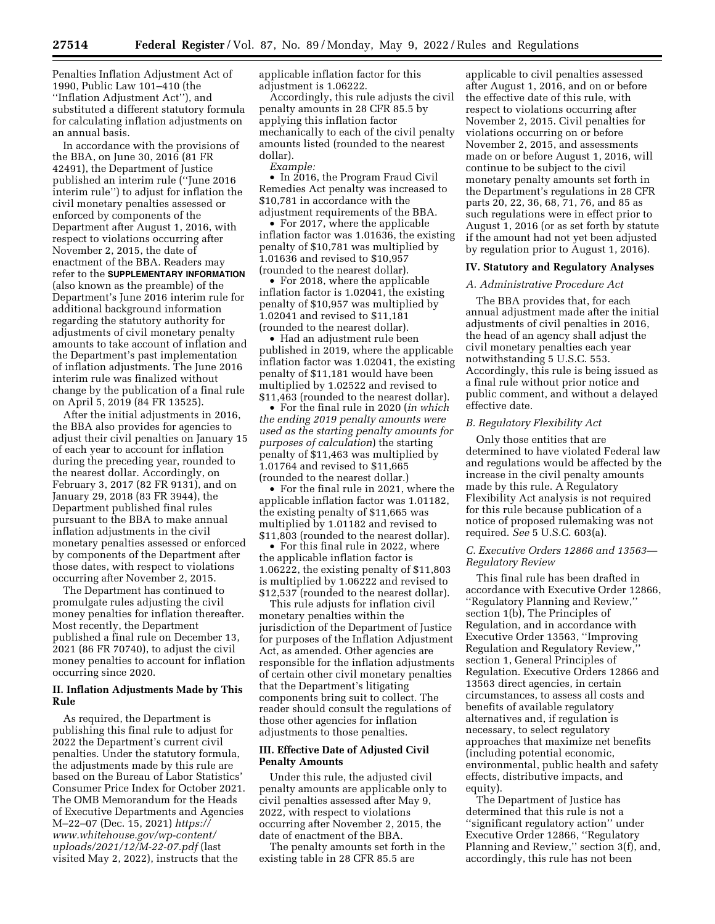**27514 Federal Register** / Vol. 87, No. 89 / Monday, May 9, 2022 / Rules and Regulations

Penalties Inflation Adjustment Act of 1990, Public Law 101–410 (the ''Inflation Adjustment Act''), and substituted a different statutory formula for calculating inflation adjustments on an annual basis.

In accordance with the provisions of the BBA, on June 30, 2016 (81 FR 42491), the Department of Justice published an interim rule (''June 2016 interim rule'') to adjust for inflation the civil monetary penalties assessed or enforced by components of the Department after August 1, 2016, with respect to violations occurring after November 2, 2015, the date of enactment of the BBA. Readers may refer to the **SUPPLEMENTARY INFORMATION** (also known as the preamble) of the Department's June 2016 interim rule for additional background information regarding the statutory authority for adjustments of civil monetary penalty amounts to take account of inflation and the Department's past implementation of inflation adjustments. The June 2016 interim rule was finalized without change by the publication of a final rule on April 5, 2019 (84 FR 13525).

After the initial adjustments in 2016, the BBA also provides for agencies to adjust their civil penalties on January 15 of each year to account for inflation during the preceding year, rounded to the nearest dollar. Accordingly, on February 3, 2017 (82 FR 9131), and on January 29, 2018 (83 FR 3944), the Department published final rules pursuant to the BBA to make annual inflation adjustments in the civil monetary penalties assessed or enforced by components of the Department after those dates, with respect to violations occurring after November 2, 2015.

The Department has continued to promulgate rules adjusting the civil money penalties for inflation thereafter. Most recently, the Department published a final rule on December 13, 2021 (86 FR 70740), to adjust the civil money penalties to account for inflation occurring since 2020.

## **II. Inflation Adjustments Made by This Rule**

As required, the Department is publishing this final rule to adjust for 2022 the Department's current civil penalties. Under the statutory formula, the adjustments made by this rule are based on the Bureau of Labor Statistics' Consumer Price Index for October 2021. The OMB Memorandum for the Heads of Executive Departments and Agencies M–22–07 (Dec. 15, 2021) *[https://](https://www.whitehouse.gov/wp-content/uploads/2021/12/M-22-07.pdf) [www.whitehouse.gov/wp-content/](https://www.whitehouse.gov/wp-content/uploads/2021/12/M-22-07.pdf) [uploads/2021/12/M-22-07.pdf](https://www.whitehouse.gov/wp-content/uploads/2021/12/M-22-07.pdf)* (last visited May 2, 2022), instructs that the

applicable inflation factor for this adjustment is 1.06222.

Accordingly, this rule adjusts the civil penalty amounts in 28 CFR 85.5 by applying this inflation factor mechanically to each of the civil penalty amounts listed (rounded to the nearest dollar).

*Example:* 

• In 2016, the Program Fraud Civil Remedies Act penalty was increased to \$10,781 in accordance with the adjustment requirements of the BBA.

• For 2017, where the applicable inflation factor was 1.01636, the existing penalty of \$10,781 was multiplied by 1.01636 and revised to \$10,957 (rounded to the nearest dollar).

• For 2018, where the applicable inflation factor is 1.02041, the existing penalty of \$10,957 was multiplied by 1.02041 and revised to \$11,181 (rounded to the nearest dollar).

• Had an adjustment rule been published in 2019, where the applicable inflation factor was 1.02041, the existing penalty of \$11,181 would have been multiplied by 1.02522 and revised to \$11,463 (rounded to the nearest dollar).

• For the final rule in 2020 (*in which the ending 2019 penalty amounts were used as the starting penalty amounts for purposes of calculation*) the starting penalty of \$11,463 was multiplied by 1.01764 and revised to \$11,665 (rounded to the nearest dollar.)

• For the final rule in 2021, where the applicable inflation factor was 1.01182, the existing penalty of \$11,665 was multiplied by 1.01182 and revised to \$11,803 (rounded to the nearest dollar).

• For this final rule in 2022, where the applicable inflation factor is 1.06222, the existing penalty of \$11,803 is multiplied by 1.06222 and revised to \$12,537 (rounded to the nearest dollar).

This rule adjusts for inflation civil monetary penalties within the jurisdiction of the Department of Justice for purposes of the Inflation Adjustment Act, as amended. Other agencies are responsible for the inflation adjustments of certain other civil monetary penalties that the Department's litigating components bring suit to collect. The reader should consult the regulations of those other agencies for inflation adjustments to those penalties.

## **III. Effective Date of Adjusted Civil Penalty Amounts**

Under this rule, the adjusted civil penalty amounts are applicable only to civil penalties assessed after May 9, 2022, with respect to violations occurring after November 2, 2015, the date of enactment of the BBA.

The penalty amounts set forth in the existing table in 28 CFR 85.5 are

applicable to civil penalties assessed after August 1, 2016, and on or before the effective date of this rule, with respect to violations occurring after November 2, 2015. Civil penalties for violations occurring on or before November 2, 2015, and assessments made on or before August 1, 2016, will continue to be subject to the civil monetary penalty amounts set forth in the Department's regulations in 28 CFR parts 20, 22, 36, 68, 71, 76, and 85 as such regulations were in effect prior to August 1, 2016 (or as set forth by statute if the amount had not yet been adjusted by regulation prior to August 1, 2016).

## **IV. Statutory and Regulatory Analyses**

#### *A. Administrative Procedure Act*

The BBA provides that, for each annual adjustment made after the initial adjustments of civil penalties in 2016, the head of an agency shall adjust the civil monetary penalties each year notwithstanding 5 U.S.C. 553. Accordingly, this rule is being issued as a final rule without prior notice and public comment, and without a delayed effective date.

# *B. Regulatory Flexibility Act*

Only those entities that are determined to have violated Federal law and regulations would be affected by the increase in the civil penalty amounts made by this rule. A Regulatory Flexibility Act analysis is not required for this rule because publication of a notice of proposed rulemaking was not required. *See* 5 U.S.C. 603(a).

## *C. Executive Orders 12866 and 13563— Regulatory Review*

This final rule has been drafted in accordance with Executive Order 12866, ''Regulatory Planning and Review,'' section 1(b), The Principles of Regulation, and in accordance with Executive Order 13563, ''Improving Regulation and Regulatory Review,'' section 1, General Principles of Regulation. Executive Orders 12866 and 13563 direct agencies, in certain circumstances, to assess all costs and benefits of available regulatory alternatives and, if regulation is necessary, to select regulatory approaches that maximize net benefits (including potential economic, environmental, public health and safety effects, distributive impacts, and equity).

The Department of Justice has determined that this rule is not a ''significant regulatory action'' under Executive Order 12866, ''Regulatory Planning and Review,'' section 3(f), and, accordingly, this rule has not been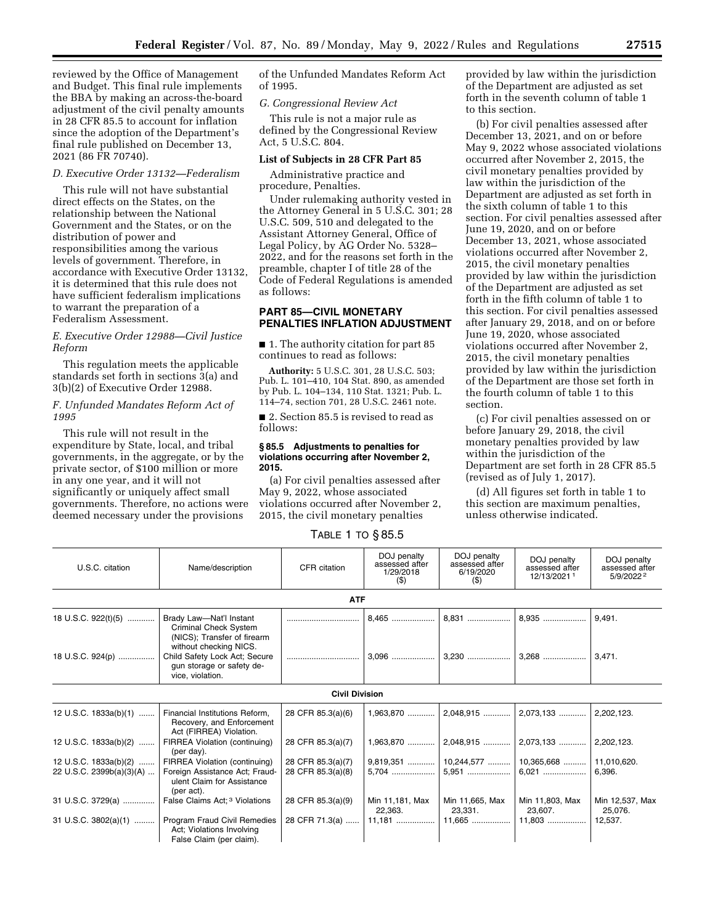reviewed by the Office of Management and Budget. This final rule implements the BBA by making an across-the-board adjustment of the civil penalty amounts in 28 CFR 85.5 to account for inflation since the adoption of the Department's final rule published on December 13, 2021 (86 FR 70740).

## *D. Executive Order 13132—Federalism*

This rule will not have substantial direct effects on the States, on the relationship between the National Government and the States, or on the distribution of power and responsibilities among the various levels of government. Therefore, in accordance with Executive Order 13132, it is determined that this rule does not have sufficient federalism implications to warrant the preparation of a Federalism Assessment.

## *E. Executive Order 12988—Civil Justice Reform*

This regulation meets the applicable standards set forth in sections 3(a) and 3(b)(2) of Executive Order 12988.

## *F. Unfunded Mandates Reform Act of 1995*

This rule will not result in the expenditure by State, local, and tribal governments, in the aggregate, or by the private sector, of \$100 million or more in any one year, and it will not significantly or uniquely affect small governments. Therefore, no actions were deemed necessary under the provisions

of the Unfunded Mandates Reform Act of 1995.

#### *G. Congressional Review Act*

This rule is not a major rule as defined by the Congressional Review Act, 5 U.S.C. 804.

#### **List of Subjects in 28 CFR Part 85**

Administrative practice and procedure, Penalties.

Under rulemaking authority vested in the Attorney General in 5 U.S.C. 301; 28 U.S.C. 509, 510 and delegated to the Assistant Attorney General, Office of Legal Policy, by AG Order No. 5328– 2022, and for the reasons set forth in the preamble, chapter I of title 28 of the Code of Federal Regulations is amended as follows:

### **PART 85—CIVIL MONETARY PENALTIES INFLATION ADJUSTMENT**

■ 1. The authority citation for part 85 continues to read as follows:

**Authority:** 5 U.S.C. 301, 28 U.S.C. 503; Pub. L. 101–410, 104 Stat. 890, as amended by Pub. L. 104–134, 110 Stat. 1321; Pub. L. 114–74, section 701, 28 U.S.C. 2461 note.

■ 2. Section 85.5 is revised to read as follows:

#### **§ 85.5 Adjustments to penalties for violations occurring after November 2, 2015.**

(a) For civil penalties assessed after May 9, 2022, whose associated violations occurred after November 2, 2015, the civil monetary penalties

provided by law within the jurisdiction of the Department are adjusted as set forth in the seventh column of table 1 to this section.

(b) For civil penalties assessed after December 13, 2021, and on or before May 9, 2022 whose associated violations occurred after November 2, 2015, the civil monetary penalties provided by law within the jurisdiction of the Department are adjusted as set forth in the sixth column of table 1 to this section. For civil penalties assessed after June 19, 2020, and on or before December 13, 2021, whose associated violations occurred after November 2, 2015, the civil monetary penalties provided by law within the jurisdiction of the Department are adjusted as set forth in the fifth column of table 1 to this section. For civil penalties assessed after January 29, 2018, and on or before June 19, 2020, whose associated violations occurred after November 2, 2015, the civil monetary penalties provided by law within the jurisdiction of the Department are those set forth in the fourth column of table 1 to this section.

(c) For civil penalties assessed on or before January 29, 2018, the civil monetary penalties provided by law within the jurisdiction of the Department are set forth in 28 CFR 85.5 (revised as of July 1, 2017).

(d) All figures set forth in table 1 to this section are maximum penalties, unless otherwise indicated.

TABLE 1 TO § 85.5

| U.S.C. citation          | Name/description                                                                                          | CFR citation          | DOJ penalty<br>assessed after<br>1/29/2018<br>$($ \$) | DOJ penalty<br>assessed after<br>6/19/2020<br>$($ \$) | DOJ penalty<br>assessed after<br>12/13/20211 | DOJ penalty<br>assessed after<br>5/9/20222 |
|--------------------------|-----------------------------------------------------------------------------------------------------------|-----------------------|-------------------------------------------------------|-------------------------------------------------------|----------------------------------------------|--------------------------------------------|
|                          |                                                                                                           | <b>ATF</b>            |                                                       |                                                       |                                              |                                            |
| 18 U.S.C. 922(t)(5)      | Brady Law-Nat'l Instant<br>Criminal Check System<br>(NICS); Transfer of firearm<br>without checking NICS. |                       | 8.465                                                 |                                                       | 8,935                                        | 9.491.                                     |
| 18 U.S.C. 924(p)         | Child Safety Lock Act; Secure<br>qun storage or safety de-<br>vice, violation.                            |                       |                                                       |                                                       |                                              | 3,471.                                     |
|                          |                                                                                                           | <b>Civil Division</b> |                                                       |                                                       |                                              |                                            |
| 12 U.S.C. 1833a(b)(1)    | Financial Institutions Reform,<br>Recovery, and Enforcement<br>Act (FIRREA) Violation.                    | 28 CFR 85.3(a)(6)     |                                                       |                                                       |                                              | 2,202,123.                                 |
| 12 U.S.C. 1833a(b)(2)    | FIRREA Violation (continuing)<br>(per day).                                                               | 28 CFR 85.3(a)(7)     |                                                       |                                                       |                                              | 2,202,123.                                 |
| 12 U.S.C. 1833a(b)(2)    | FIRREA Violation (continuing)                                                                             | 28 CFR 85.3(a)(7)     |                                                       |                                                       |                                              | 11,010,620.                                |
| 22 U.S.C. 2399b(a)(3)(A) | Foreign Assistance Act; Fraud-<br>ulent Claim for Assistance<br>(per act).                                | 28 CFR 85.3(a)(8)     | 5.704                                                 |                                                       |                                              | 6.396.                                     |
| 31 U.S.C. 3729(a)        | False Claims Act; <sup>3</sup> Violations                                                                 | 28 CFR 85.3(a)(9)     | Min 11,181, Max<br>22.363.                            | Min 11,665, Max<br>23.331.                            | Min 11,803, Max<br>23.607.                   | Min 12,537, Max<br>25,076.                 |
| 31 U.S.C. 3802(a)(1)     | Program Fraud Civil Remedies<br>Act: Violations Involving<br>False Claim (per claim).                     | 28 CFR 71.3(a)        |                                                       |                                                       |                                              | 12,537.                                    |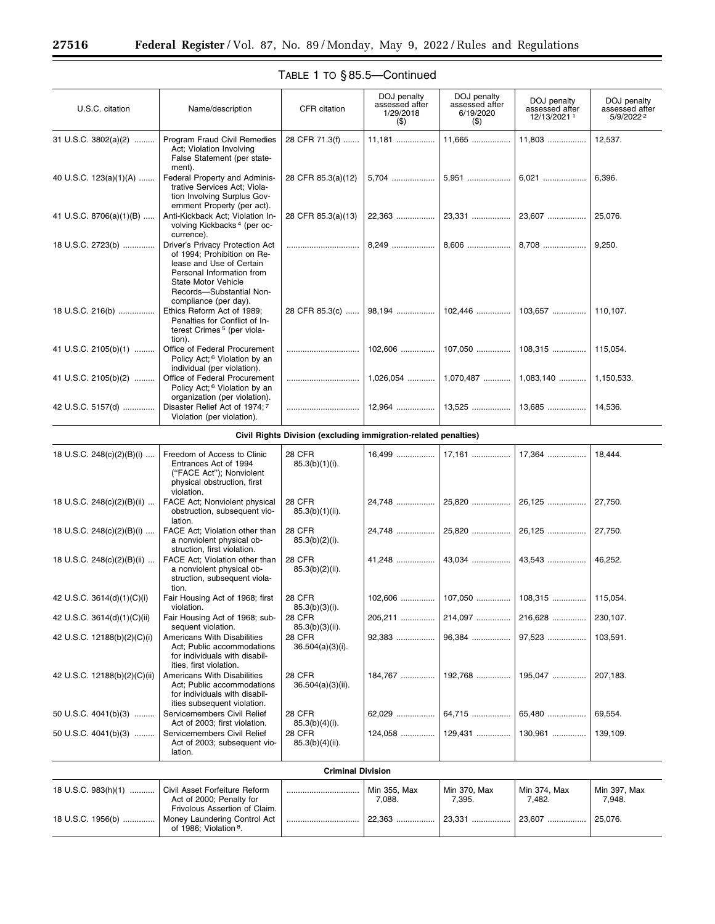$\equiv$ 

÷.

| U.S.C. citation              | Name/description                                                                                                                                                                                    | CFR citation                                                    | DOJ penalty<br>assessed after<br>1/29/2018<br>$($ \$ | DOJ penalty<br>assessed after<br>6/19/2020<br>$($ \$) | DOJ penalty<br>assessed after<br>12/13/20211 | DOJ penalty<br>assessed after<br>5/9/2022 2 |  |  |
|------------------------------|-----------------------------------------------------------------------------------------------------------------------------------------------------------------------------------------------------|-----------------------------------------------------------------|------------------------------------------------------|-------------------------------------------------------|----------------------------------------------|---------------------------------------------|--|--|
| 31 U.S.C. 3802(a)(2)         | Program Fraud Civil Remedies<br>Act; Violation Involving<br>False Statement (per state-<br>ment).                                                                                                   | 28 CFR 71.3(f)                                                  | 11,181                                               | 11,665                                                | 11,803                                       | 12,537.                                     |  |  |
| 40 U.S.C. 123(a)(1)(A)       | Federal Property and Adminis-<br>trative Services Act; Viola-<br>tion Involving Surplus Gov-<br>ernment Property (per act).                                                                         | 28 CFR 85.3(a)(12)                                              | 5,704                                                | 5,951                                                 | 6,021                                        | 6,396.                                      |  |  |
| 41 U.S.C. 8706(a)(1)(B)      | Anti-Kickback Act; Violation In-<br>volving Kickbacks <sup>4</sup> (per oc-<br>currence).                                                                                                           | 28 CFR 85.3(a)(13)                                              | 22,363                                               | 23,331                                                | 23,607                                       | 25,076.                                     |  |  |
| 18 U.S.C. 2723(b)            | Driver's Privacy Protection Act<br>of 1994; Prohibition on Re-<br>lease and Use of Certain<br>Personal Information from<br>State Motor Vehicle<br>Records-Substantial Non-<br>compliance (per day). |                                                                 | 8,249                                                | 8,606                                                 | 8,708                                        | 9,250.                                      |  |  |
| 18 U.S.C. 216(b)             | Ethics Reform Act of 1989;<br>Penalties for Conflict of In-<br>terest Crimes <sup>5</sup> (per viola-<br>tion).                                                                                     | 28 CFR 85.3(c)                                                  | 98,194                                               | 102,446                                               |                                              |                                             |  |  |
| 41 U.S.C. 2105(b)(1)         | Office of Federal Procurement<br>Policy Act; <sup>6</sup> Violation by an<br>individual (per violation).                                                                                            |                                                                 | $102,606$                                            | 107,050                                               | 108.315                                      | 115,054.                                    |  |  |
| 41 U.S.C. 2105(b)(2)         | Office of Federal Procurement<br>Policy Act; <sup>6</sup> Violation by an<br>organization (per violation).                                                                                          |                                                                 | $1,026,054$                                          | 1,070,487                                             | $1,083,140$                                  | 1,150,533.                                  |  |  |
| 42 U.S.C. 5157(d)            | Disaster Relief Act of 1974; 7<br>Violation (per violation).                                                                                                                                        |                                                                 | $12,964$                                             | $13,525$                                              | 13,685                                       | 14,536.                                     |  |  |
|                              |                                                                                                                                                                                                     | Civil Rights Division (excluding immigration-related penalties) |                                                      |                                                       |                                              |                                             |  |  |
| 18 U.S.C. 248(c)(2)(B)(i)    | Freedom of Access to Clinic<br>Entrances Act of 1994<br>("FACE Act"); Nonviolent<br>physical obstruction, first<br>violation.                                                                       | 28 CFR<br>$85.3(b)(1)(i)$ .                                     | 16,499                                               | 17,161                                                | 17,364                                       | 18,444.                                     |  |  |
| 18 U.S.C. 248(c)(2)(B)(ii)   | FACE Act; Nonviolent physical<br>obstruction, subsequent vio-<br>lation.                                                                                                                            | <b>28 CFR</b><br>$85.3(b)(1)(ii)$ .                             | 24,748                                               | 25,820                                                | 26,125                                       | 27,750.                                     |  |  |
| 18 U.S.C. 248(c)(2)(B)(i)    | FACE Act; Violation other than<br>a nonviolent physical ob-<br>struction, first violation.                                                                                                          | 28 CFR<br>$85.3(b)(2)(i)$ .                                     | 24,748                                               | 25,820                                                | 26,125                                       | 27,750.                                     |  |  |
| 18 U.S.C. 248(c)(2)(B)(ii)   | FACE Act; Violation other than<br>a nonviolent physical ob-<br>struction, subsequent viola-<br>tion.                                                                                                | 28 CFR<br>$85.3(b)(2)(ii)$ .                                    | 41,248                                               | 43,034                                                | 43,543                                       | 46,252.                                     |  |  |
| 42 U.S.C. 3614(d)(1)(C)(i)   | Fair Housing Act of 1968; first<br>violation.                                                                                                                                                       | <b>28 CFR</b><br>85.3(b)(3)(i).                                 |                                                      |                                                       |                                              |                                             |  |  |
| 42 U.S.C. 3614(d)(1)(C)(ii)  | Fair Housing Act of 1968; sub-<br>sequent violation.                                                                                                                                                | 28 CFR<br>$85.3(b)(3)(ii)$ .                                    | 205,211                                              | 214,097                                               | 216,628                                      | 230,107.                                    |  |  |
| 42 U.S.C. 12188(b)(2)(C)(i)  | <b>Americans With Disabilities</b><br>Act; Public accommodations<br>for individuals with disabil-<br>ities, first violation.                                                                        | <b>28 CFR</b><br>$36.504(a)(3)(i)$ .                            | 92.383                                               | 96,384                                                | 97,523                                       | 103,591.                                    |  |  |
| 42 U.S.C. 12188(b)(2)(C)(ii) | <b>Americans With Disabilities</b><br>Act; Public accommodations<br>for individuals with disabil-<br>ities subsequent violation.                                                                    | 28 CFR<br>36.504(a)(3)(ii).                                     | 184,767                                              | 192,768                                               | 195.047                                      | 207,183.                                    |  |  |
| 50 U.S.C. $4041(b)(3)$       | Servicemembers Civil Relief<br>Act of 2003; first violation.                                                                                                                                        | <b>28 CFR</b><br>$85.3(b)(4)(i)$ .                              | 62.029                                               | 64,715                                                | 65,480                                       | 69,554.                                     |  |  |
| 50 U.S.C. $4041(b)(3)$       | Servicemembers Civil Relief<br>Act of 2003; subsequent vio-<br>lation.                                                                                                                              | <b>28 CFR</b><br>$85.3(b)(4)(ii)$ .                             | 124.058                                              | 129,431                                               | 130,961                                      | 139,109.                                    |  |  |
|                              | <b>Criminal Division</b>                                                                                                                                                                            |                                                                 |                                                      |                                                       |                                              |                                             |  |  |
| 18 U.S.C. 983(h)(1)          | Civil Asset Forfeiture Reform<br>Act of 2000; Penalty for<br>Frivolous Assertion of Claim.                                                                                                          |                                                                 | Min 355, Max<br>7,088.                               | Min 370, Max<br>7,395.                                | Min 374, Max<br>7,482.                       | Min 397, Max<br>7,948.                      |  |  |
| 18 U.S.C. 1956(b)            | Money Laundering Control Act<br>of 1986; Violation 8.                                                                                                                                               |                                                                 | 22,363                                               | 23,331                                                | 23,607                                       | 25,076.                                     |  |  |
|                              |                                                                                                                                                                                                     |                                                                 |                                                      |                                                       |                                              |                                             |  |  |

# TABLE 1 TO § 85.5—Continued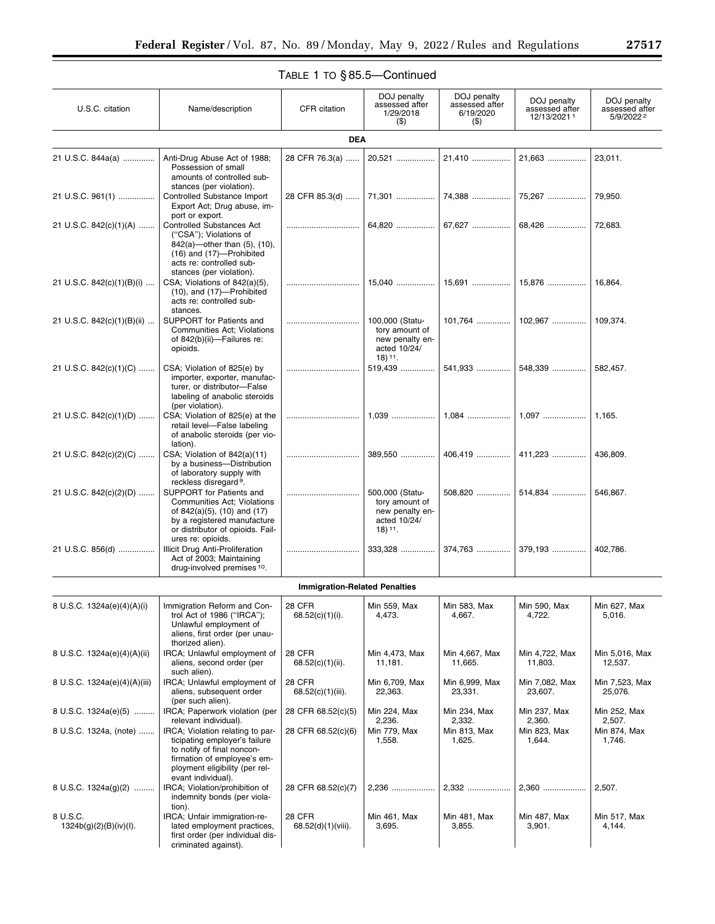# TABLE 1 TO § 85.5—Continued

| U.S.C. citation                      | Name/description                                                                                                                                                                       | CFR citation                          | DOJ penalty<br>assessed after<br>1/29/2018                                                    | DOJ penalty<br>assessed after<br>6/19/2020 | DOJ penalty<br>assessed after<br>12/13/20211 | DOJ penalty<br>assessed after<br>5/9/20222 |  |  |
|--------------------------------------|----------------------------------------------------------------------------------------------------------------------------------------------------------------------------------------|---------------------------------------|-----------------------------------------------------------------------------------------------|--------------------------------------------|----------------------------------------------|--------------------------------------------|--|--|
| $($ \$<br>$($ \$)<br><b>DEA</b>      |                                                                                                                                                                                        |                                       |                                                                                               |                                            |                                              |                                            |  |  |
| 21 U.S.C. 844a(a)                    | Anti-Drug Abuse Act of 1988;<br>Possession of small<br>amounts of controlled sub-                                                                                                      | 28 CFR 76.3(a)                        | 20,521                                                                                        | 21,410                                     | 21,663                                       | 23,011.                                    |  |  |
| 21 U.S.C. 961(1)                     | stances (per violation).<br>Controlled Substance Import<br>Export Act; Drug abuse, im-<br>port or export.                                                                              | 28 CFR 85.3(d)                        | 71,301                                                                                        | 74,388                                     | 75,267                                       | 79,950.                                    |  |  |
| 21 U.S.C. 842(c)(1)(A)               | <b>Controlled Substances Act</b><br>("CSA"); Violations of<br>842(a)-other than (5), (10),<br>(16) and (17)-Prohibited<br>acts re: controlled sub-<br>stances (per violation).         |                                       | 64,820                                                                                        | 67,627                                     | 68,426                                       | 72,683.                                    |  |  |
| 21 U.S.C. 842(c)(1)(B)(i)            | CSA; Violations of 842(a)(5),<br>$(10)$ , and $(17)$ -Prohibited<br>acts re: controlled sub-<br>stances.                                                                               |                                       | 15,040                                                                                        | 15,691                                     | 15,876                                       | 16,864.                                    |  |  |
| 21 U.S.C. 842(c)(1)(B)(ii)           | SUPPORT for Patients and<br>Communities Act; Violations<br>of 842(b)(ii)-Failures re:<br>opioids.                                                                                      |                                       | 100,000 (Statu-<br>tory amount of<br>new penalty en-<br>acted 10/24/<br>$18)$ <sup>11</sup> . | $101,764$                                  | 102,967                                      | 109.374.                                   |  |  |
| 21 U.S.C. 842(c)(1)(C)               | CSA; Violation of 825(e) by<br>importer, exporter, manufac-<br>turer, or distributor-False<br>labeling of anabolic steroids<br>(per violation).                                        |                                       | 519,439                                                                                       | 541,933                                    | 548,339                                      | 582,457.                                   |  |  |
| 21 U.S.C. 842(c)(1)(D)               | CSA: Violation of 825(e) at the<br>retail level-False labeling<br>of anabolic steroids (per vio-<br>lation).                                                                           |                                       |                                                                                               |                                            |                                              | 1,165.                                     |  |  |
| 21 U.S.C. 842(c)(2)(C)               | CSA; Violation of 842(a)(11)<br>by a business-Distribution<br>of laboratory supply with<br>reckless disregard <sup>9</sup> .                                                           |                                       | 389,550                                                                                       | 406,419                                    | 411,223                                      | 436,809.                                   |  |  |
| 21 U.S.C. 842(c)(2)(D)               | SUPPORT for Patients and<br>Communities Act; Violations<br>of 842(a)(5), (10) and (17)<br>by a registered manufacture<br>or distributor of opioids. Fail-<br>ures re: opioids.         |                                       | 500,000 (Statu-<br>tory amount of<br>new penalty en-<br>acted 10/24/<br>$18)$ <sup>11</sup> . | 508,820                                    | 514,834                                      | 546,867.                                   |  |  |
| 21 U.S.C. 856(d)                     | Illicit Drug Anti-Proliferation<br>Act of 2003; Maintaining<br>drug-involved premises 10.                                                                                              |                                       | 333,328                                                                                       | 374,763                                    | 379,193                                      | 402,786.                                   |  |  |
| <b>Immigration-Related Penalties</b> |                                                                                                                                                                                        |                                       |                                                                                               |                                            |                                              |                                            |  |  |
| 8 U.S.C. 1324a(e)(4)(A)(i)           | Immigration Reform and Con-<br>trol Act of 1986 ("IRCA");<br>Unlawful employment of<br>aliens, first order (per unau-<br>thorized alien).                                              | 28 CFR<br>$68.52(c)(1)(i)$ .          | Min 559, Max<br>4,473.                                                                        | Min 583, Max<br>4,667.                     | Min 590, Max<br>4,722.                       | Min 627, Max<br>5,016.                     |  |  |
| 8 U.S.C. 1324a(e)(4)(A)(ii)          | IRCA; Unlawful employment of<br>aliens, second order (per<br>such alien).                                                                                                              | <b>28 CFR</b><br>68.52(c)(1)(ii).     | Min 4,473, Max<br>11,181.                                                                     | Min 4,667, Max<br>11,665.                  | Min 4,722, Max<br>11,803.                    | Min 5,016, Max<br>12,537.                  |  |  |
| 8 U.S.C. 1324a(e)(4)(A)(iii)         | IRCA: Unlawful employment of<br>aliens, subsequent order<br>(per such alien).                                                                                                          | <b>28 CFR</b><br>$68.52(c)(1)(iii)$ . | Min 6,709, Max<br>22,363.                                                                     | Min 6,999, Max<br>23,331.                  | Min 7,082, Max<br>23,607.                    | Min 7,523, Max<br>25,076.                  |  |  |
| 8 U.S.C. 1324a(e)(5)                 | IRCA; Paperwork violation (per<br>relevant individual).                                                                                                                                | 28 CFR 68.52(c)(5)                    | Min 224, Max<br>2,236.                                                                        | Min 234, Max<br>2,332.                     | Min 237, Max<br>2,360.                       | Min 252, Max<br>2,507.                     |  |  |
| 8 U.S.C. 1324a, (note)               | IRCA: Violation relating to par-<br>ticipating employer's failure<br>to notify of final noncon-<br>firmation of employee's em-<br>ployment eligibility (per rel-<br>evant individual). | 28 CFR 68.52(c)(6)                    | Min 779, Max<br>1,558.                                                                        | Min 813, Max<br>1,625.                     | Min 823, Max<br>1,644.                       | Min 874, Max<br>1,746.                     |  |  |
| 8 U.S.C. 1324a(g)(2)                 | IRCA; Violation/prohibition of<br>indemnity bonds (per viola-<br>tion).                                                                                                                | 28 CFR 68.52(c)(7)                    | 2,236                                                                                         | 2,332                                      | 2,360                                        | 2,507.                                     |  |  |
| 8 U.S.C.<br>1324b(g)(2)(B)(iv)(I).   | IRCA; Unfair immigration-re-<br>lated employment practices,<br>first order (per individual dis-<br>criminated against).                                                                | 28 CFR<br>68.52(d)(1)(viii).          | Min 461, Max<br>3,695.                                                                        | Min 481, Max<br>3,855.                     | Min 487, Max<br>3,901.                       | Min 517, Max<br>4,144.                     |  |  |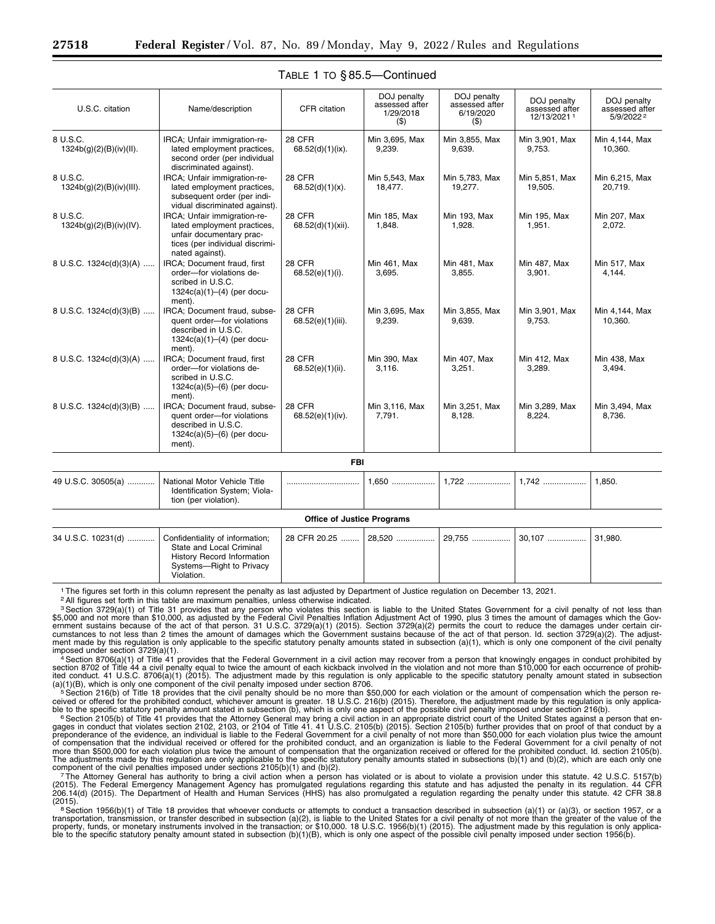| U.S.C. citation                      | Name/description                                                                                                                              | CFR citation                      | DOJ penalty<br>assessed after<br>1/29/2018<br>$($ \$) | DOJ penalty<br>assessed after<br>6/19/2020<br>(3) | DOJ penalty<br>assessed after<br>12/13/20211 | DOJ penalty<br>assessed after<br>5/9/20222 |
|--------------------------------------|-----------------------------------------------------------------------------------------------------------------------------------------------|-----------------------------------|-------------------------------------------------------|---------------------------------------------------|----------------------------------------------|--------------------------------------------|
| 8 U.S.C.<br>1324b(g)(2)(B)(iv)(II).  | IRCA; Unfair immigration-re-<br>lated employment practices,<br>second order (per individual<br>discriminated against).                        | 28 CFR<br>68.52(d)(1)(ix).        | Min 3,695, Max<br>9,239.                              | Min 3,855, Max<br>9,639.                          | Min 3,901, Max<br>9,753.                     | Min 4,144, Max<br>10.360.                  |
| 8 U.S.C.<br>1324b(g)(2)(B)(iv)(III). | IRCA: Unfair immigration-re-<br>lated employment practices,<br>subsequent order (per indi-<br>vidual discriminated against).                  | 28 CFR<br>$68.52(d)(1)(x)$ .      | Min 5,543, Max<br>18,477.                             | Min 5,783, Max<br>19,277.                         | Min 5,851, Max<br>19,505.                    | Min 6,215, Max<br>20,719.                  |
| 8 U.S.C.<br>1324b(g)(2)(B)(iv)(IV).  | IRCA; Unfair immigration-re-<br>lated employment practices,<br>unfair documentary prac-<br>tices (per individual discrimi-<br>nated against). | 28 CFR<br>68.52(d)(1)(xii).       | Min 185, Max<br>1,848.                                | Min 193, Max<br>1,928.                            | Min 195, Max<br>1,951.                       | Min 207, Max<br>2,072.                     |
| 8 U.S.C. 1324c(d)(3)(A)              | IRCA; Document fraud, first<br>order-for violations de-<br>scribed in U.S.C.<br>$1324c(a)(1)–(4)$ (per docu-<br>ment).                        | 28 CFR<br>68.52(e)(1)(i).         | Min 461, Max<br>3,695.                                | Min 481, Max<br>3,855.                            | Min 487, Max<br>3,901.                       | Min 517, Max<br>4,144.                     |
| 8 U.S.C. 1324c(d)(3)(B)              | IRCA: Document fraud, subse-<br>quent order-for violations<br>described in U.S.C.<br>$1324c(a)(1)–(4)$ (per docu-<br>ment).                   | 28 CFR<br>68.52(e)(1)(iii).       | Min 3,695, Max<br>9,239.                              | Min 3,855, Max<br>9,639.                          | Min 3,901, Max<br>9,753.                     | Min 4,144, Max<br>10,360.                  |
| 8 U.S.C. 1324c(d)(3)(A)              | <b>IRCA: Document fraud. first</b><br>order-for violations de-<br>scribed in U.S.C.<br>$1324c(a)(5)–(6)$ (per docu-<br>ment).                 | 28 CFR<br>68.52(e)(1)(ii).        | Min 390, Max<br>3,116.                                | Min 407, Max<br>3,251.                            | Min 412, Max<br>3,289.                       | Min 438, Max<br>3,494.                     |
| 8 U.S.C. 1324c(d)(3)(B)              | IRCA; Document fraud, subse-<br>quent order-for violations<br>described in U.S.C.<br>$1324c(a)(5)–(6)$ (per docu-<br>ment).                   | 28 CFR<br>68.52(e)(1)(iv).        | Min 3,116, Max<br>7,791.                              | Min 3,251, Max<br>8,128.                          | Min 3,289, Max<br>8,224.                     | Min 3,494, Max<br>8,736.                   |
|                                      |                                                                                                                                               | <b>FBI</b>                        |                                                       |                                                   |                                              |                                            |
| 49 U.S.C. 30505(a)                   | National Motor Vehicle Title<br>Identification System; Viola-<br>tion (per violation).                                                        |                                   | $1.650$                                               | 1,722                                             | 1,742                                        | 1.850.                                     |
|                                      |                                                                                                                                               | <b>Office of Justice Programs</b> |                                                       |                                                   |                                              |                                            |
| 34 U.S.C. 10231(d)                   | Confidentiality of information;<br>State and Local Criminal<br><b>History Record Information</b><br>Systems-Right to Privacy                  | 28 CFR 20.25                      | 28.520                                                | 29.755                                            | 30.107                                       | 31,980.                                    |

## TABLE 1 TO § 85.5—Continued

1The figures set forth in this column represent the penalty as last adjusted by Department of Justice regulation on December 13, 2021.

2All figures set forth in this table are maximum penalties, unless otherwise indicated.

Violation.

<sup>3</sup> Section 3729(a)(1) of Title 31 provides that any person who violates this section is liable to the United States Government for a civil penalty of not less than \$5,000 and not more than \$10,000, as adjusted by the Fede ment made by this regulation is only applicable to the specific statutory penalty amounts stated in subsection (a)(1), which is only one component of the civil penalty

imposed under section 3729(a)(1).<br>
<sup>4</sup> Section 8706(a)(1) of Title 41 provides that the Federal Government in a civil action may recover from a person that knowingly engages in conduct prohibited by<br>
section 8706(a)(1) of

ceived or offered for the prohibited conduct, whichever amount is greater. 18 U.S.C. 216(b) (2015). Therefore, the adjustment made by this regulation is only applica-<br>ble to the specific statutory penalty amount stated in

The Attorney General has authority to bring a civil action when a person has violated or is about to violate a provision under this statute. 42 U.S.C. 5157(b)<br>(2015). The Federal Emergency Management Agency has promulgated 206.14(d) (2015). The Department of Health and Human Services (HHS) has also promulgated a regulation regarding the penalty under this statute. 42 CFR 38.8<br>(2015).

<sup>8</sup> Section 1956(b)(1) of Title 18 provides that whoever conducts or attempts to conduct a transaction described in subsection (a)(1) or (a)(3), or section 1957, or a transportation, transmission, or transfer described in subsection (a)(2), is liable to the United States for a civil penalty of not more than the greater of the value of the<br>property, funds, or monetary instruments involve